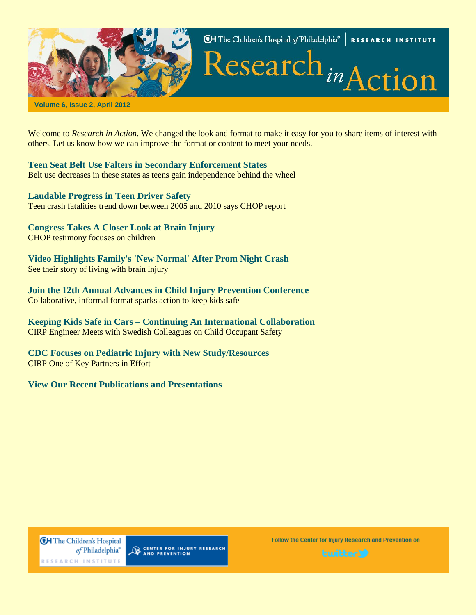

**CH** The Children's Hospital of Philadelphia® RESEARCH INSTITUTE

Research<sub>in</sub>Action

**Volume 6, Issue 2, April 2012**

Welcome to *Research in Action*. We changed the look and format to make it easy for you to share items of interest with others. [Let us know how we can improve the format or content to meet your needs.](mailto:norrisc@email.chop.edu)

**[Teen Seat Belt Use Falters in Secondary Enforcement States](http://www.research.chop.edu/programs/injury/newsletter/news/a2901.php)** Belt use decreases in these states as teens gain independence behind the wheel

**[Laudable Progress in Teen Driver Safety](http://www.research.chop.edu/programs/injury/newsletter/news/a2902.php)** Teen crash fatalities trend down between 2005 and 2010 says CHOP report

**[Congress Takes A Closer Look at Brain Injury](http://www.research.chop.edu/programs/injury/newsletter/news/a2903.php)** CHOP testimony focuses on children

**[Video Highlights Family's 'New Normal' After Prom Night Crash](http://www.research.chop.edu/programs/injury/newsletter/news/a2904.php)** See their story of living with brain injury

**[Join the 12th Annual Advances in Child Injury Prevention Conference](http://www.research.chop.edu/programs/injury/newsletter/news/a2905.php)** Collaborative, informal format sparks action to keep kids safe

**Keeping Kids Safe in Cars – [Continuing An International Collaboration](http://www.research.chop.edu/programs/injury/newsletter/news/a2906.php)** CIRP Engineer Meets with Swedish Colleagues on Child Occupant Safety

**[CDC Focuses on Pediatric Injury with New Study/Resources](http://www.research.chop.edu/programs/injury/newsletter/news/a2907.php)** CIRP One of Key Partners in Effort

**[View Our Recent Publications and Presentations](http://www.research.chop.edu/programs/injury/newsletter/pub/p2901.php)**

**CH** The Children's Hospital of Philadelphia® RESEARCH INSTITUTE

CENTER FOR INJURY RESEARCH

Follow the Center for Injury Research and Prevention on

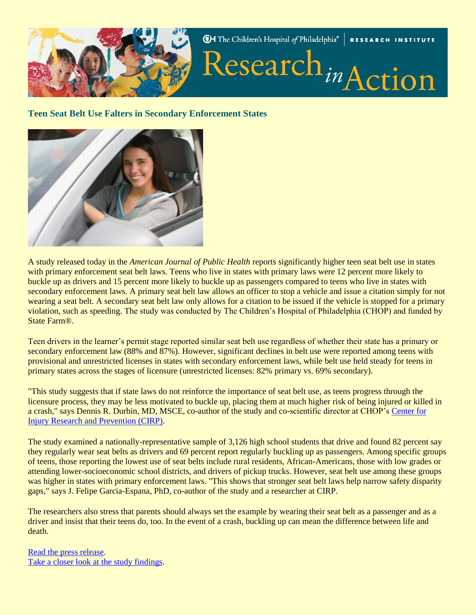

#### **Teen Seat Belt Use Falters in Secondary Enforcement States**



A study released today in the *American Journal of Public Health* reports significantly higher teen seat belt use in states with primary enforcement seat belt laws. Teens who live in states with primary laws were 12 percent more likely to buckle up as drivers and 15 percent more likely to buckle up as passengers compared to teens who live in states with secondary enforcement laws. A primary seat belt law allows an officer to stop a vehicle and issue a citation simply for not wearing a seat belt. A secondary seat belt law only allows for a citation to be issued if the vehicle is stopped for a primary violation, such as speeding. The study was conducted by The Children's Hospital of Philadelphia (CHOP) and funded by State Farm®.

Teen drivers in the learner's permit stage reported similar seat belt use regardless of whether their state has a primary or secondary enforcement law (88% and 87%). However, significant declines in belt use were reported among teens with provisional and unrestricted licenses in states with secondary enforcement laws, while belt use held steady for teens in primary states across the stages of licensure (unrestricted licenses: 82% primary vs. 69% secondary).

"This study suggests that if state laws do not reinforce the importance of seat belt use, as teens progress through the licensure process, they may be less motivated to buckle up, placing them at much higher risk of being injured or killed in a crash," says Dennis R. Durbin, MD, MSCE, co-author of the study and co-scientific director at CHOP's [Center for](http://www.research.chop.edu/programs/injury/)  [Injury Research and Prevention \(CIRP\).](http://www.research.chop.edu/programs/injury/)

The study examined a nationally-representative sample of 3,126 high school students that drive and found 82 percent say they regularly wear seat belts as drivers and 69 percent report regularly buckling up as passengers. Among specific groups of teens, those reporting the lowest use of seat belts include rural residents, African-Americans, those with low grades or attending lower-socioeconomic school districts, and drivers of pickup trucks. However, seat belt use among these groups was higher in states with primary enforcement laws. "This shows that stronger seat belt laws help narrow safety disparity gaps," says J. Felipe Garcia-Espana, PhD, co-author of the study and a researcher at CIRP.

The researchers also stress that parents should always set the example by wearing their seat belt as a passenger and as a driver and insist that their teens do, too. In the event of a crash, buckling up can mean the difference between life and death.

[Read the press release.](https://www.teendriversource.org/news/article/42) [Take a closer look at the study findings.](http://www.teendriversource.org/stats/support_gov/detail/115)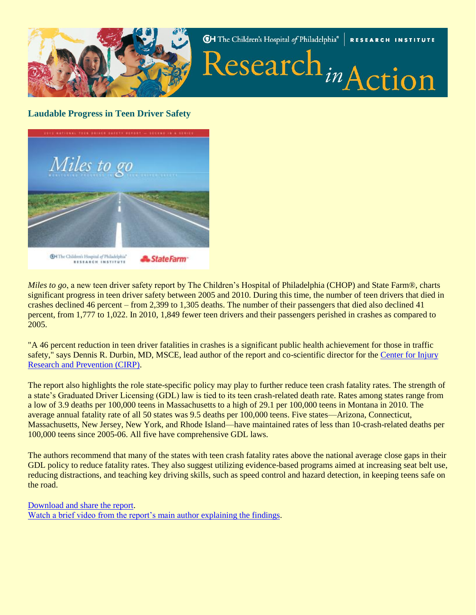

# **Laudable Progress in Teen Driver Safety**



*Miles to go*, a new teen driver safety report by The Children's Hospital of Philadelphia (CHOP) and State Farm®, charts significant progress in teen driver safety between 2005 and 2010. During this time, the number of teen drivers that died in crashes declined 46 percent – from 2,399 to 1,305 deaths. The number of their passengers that died also declined 41 percent, from 1,777 to 1,022. In 2010, 1,849 fewer teen drivers and their passengers perished in crashes as compared to 2005.

"A 46 percent reduction in teen driver fatalities in crashes is a significant public health achievement for those in traffic safety," says Dennis R. Durbin, MD, MSCE, lead author of the report and co-scientific director for the [Center for Injury](http://www.research.chop.edu/programs/injury/)  [Research and Prevention \(CIRP\).](http://www.research.chop.edu/programs/injury/)

The report also highlights the role state-specific policy may play to further reduce teen crash fatality rates. The strength of a state's Graduated Driver Licensing (GDL) law is tied to its teen crash-related death rate. Rates among states range from a low of 3.9 deaths per 100,000 teens in Massachusetts to a high of 29.1 per 100,000 teens in Montana in 2010. The average annual fatality rate of all 50 states was 9.5 deaths per 100,000 teens. Five states—Arizona, Connecticut, Massachusetts, New Jersey, New York, and Rhode Island—have maintained rates of less than 10-crash-related deaths per 100,000 teens since 2005-06. All five have comprehensive GDL laws.

The authors recommend that many of the states with teen crash fatality rates above the national average close gaps in their GDL policy to reduce fatality rates. They also suggest utilizing evidence-based programs aimed at increasing seat belt use, reducing distractions, and teaching key driving skills, such as speed control and hazard detection, in keeping teens safe on the road.

#### [Download and share the report.](http://www.teendriversource.org/tools/support_gov/detail/205)

[Watch a brief video from the report's main author explaining the findings.](http://www.teendriversource.org/media/support_teens/detail/207)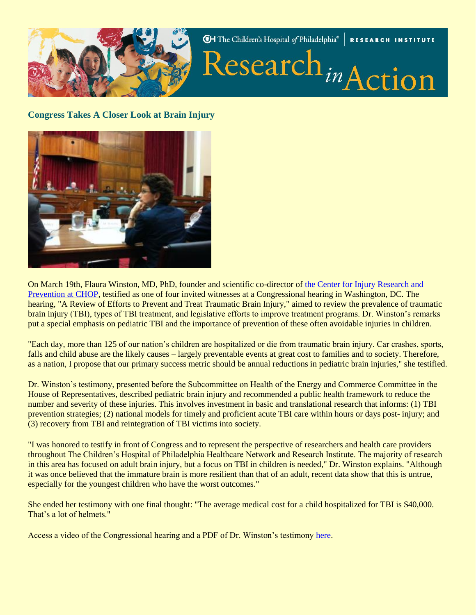

**Congress Takes A Closer Look at Brain Injury**



On March 19th, Flaura Winston, MD, PhD, founder and scientific co-director of [the Center for Injury Research and](http://www.research.chop.edu/programs/injury/)  [Prevention at CHOP,](http://www.research.chop.edu/programs/injury/) testified as one of four invited witnesses at a Congressional hearing in Washington, DC. The hearing, "A Review of Efforts to Prevent and Treat Traumatic Brain Injury," aimed to review the prevalence of traumatic brain injury (TBI), types of TBI treatment, and legislative efforts to improve treatment programs. Dr. Winston's remarks put a special emphasis on pediatric TBI and the importance of prevention of these often avoidable injuries in children.

"Each day, more than 125 of our nation's children are hospitalized or die from traumatic brain injury. Car crashes, sports, falls and child abuse are the likely causes – largely preventable events at great cost to families and to society. Therefore, as a nation, I propose that our primary success metric should be annual reductions in pediatric brain injuries," she testified.

Dr. Winston's testimony, presented before the Subcommittee on Health of the Energy and Commerce Committee in the House of Representatives, described pediatric brain injury and recommended a public health framework to reduce the number and severity of these injuries. This involves investment in basic and translational research that informs: (1) TBI prevention strategies; (2) national models for timely and proficient acute TBI care within hours or days post- injury; and (3) recovery from TBI and reintegration of TBI victims into society.

"I was honored to testify in front of Congress and to represent the perspective of researchers and health care providers throughout The Children's Hospital of Philadelphia Healthcare Network and Research Institute. The majority of research in this area has focused on adult brain injury, but a focus on TBI in children is needed," Dr. Winston explains. "Although it was once believed that the immature brain is more resilient than that of an adult, recent data show that this is untrue, especially for the youngest children who have the worst outcomes."

She ended her testimony with one final thought: "The average medical cost for a child hospitalized for TBI is \$40,000. That's a lot of helmets."

Access a video of the Congressional hearing and a PDF of Dr. Winston's testimony [here.](http://www.research.chop.edu/programs/injury/educational_advocacy/legislative_update.php)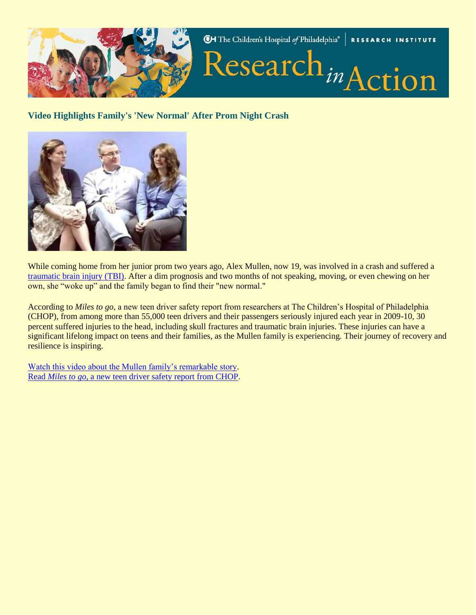

## **Video Highlights Family's 'New Normal' After Prom Night Crash**



While coming home from her junior prom two years ago, Alex Mullen, now 19, was involved in a crash and suffered a [traumatic brain injury \(TBI\).](http://www.teendriversource.org/more_pages/page/preventing_traumatic_brain_injuries_in_teen_crashes/researcher) After a dim prognosis and two months of not speaking, moving, or even chewing on her own, she "woke up" and the family began to find their "new normal."

According to *Miles to go*, a new teen driver safety report from researchers at The Children's Hospital of Philadelphia (CHOP), from among more than 55,000 teen drivers and their passengers seriously injured each year in 2009-10, 30 percent suffered injuries to the head, including skull fractures and traumatic brain injuries. These injuries can have a significant lifelong impact on teens and their families, as the Mullen family is experiencing. Their journey of recovery and resilience is inspiring.

[Watch this video about the Mullen family's remarkable story.](http://www.teendriversource.org/media/researcher/detail/206) Read *Miles to go*[, a new teen driver safety report from CHOP.](http://www.teendriversource.org/more_pages/page/miles_to_go/researcher)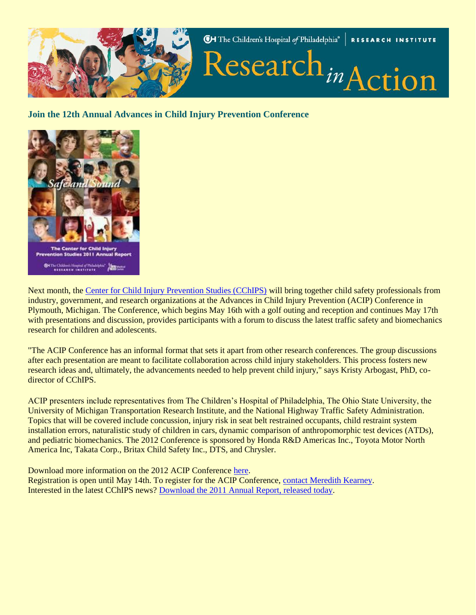

## **Join the 12th Annual Advances in Child Injury Prevention Conference**



Next month, the [Center for Child Injury Prevention Studies \(CChIPS\)](http://www.chop.edu/cchips) will bring together child safety professionals from industry, government, and research organizations at the Advances in Child Injury Prevention (ACIP) Conference in Plymouth, Michigan. The Conference, which begins May 16th with a golf outing and reception and continues May 17th with presentations and discussion, provides participants with a forum to discuss the latest traffic safety and biomechanics research for children and adolescents.

"The ACIP Conference has an informal format that sets it apart from other research conferences. The group discussions after each presentation are meant to facilitate collaboration across child injury stakeholders. This process fosters new research ideas and, ultimately, the advancements needed to help prevent child injury," says Kristy Arbogast, PhD, codirector of CChIPS.

ACIP presenters include representatives from The Children's Hospital of Philadelphia, The Ohio State University, the University of Michigan Transportation Research Institute, and the National Highway Traffic Safety Administration. Topics that will be covered include concussion, injury risk in seat belt restrained occupants, child restraint system installation errors, naturalistic study of children in cars, dynamic comparison of anthropomorphic test devices (ATDs), and pediatric biomechanics. The 2012 Conference is sponsored by Honda R&D Americas Inc., Toyota Motor North America Inc, Takata Corp., Britax Child Safety Inc., DTS, and Chrysler.

Download more information on the 2012 ACIP Conference [here.](http://www.research.chop.edu/programs/injury/newsletter/docs/2012_ACIP_Conference_Invitation.pdf) Registration is open until May 14th. To register for the ACIP Conference, [contact Meredith Kearney.](mailto:%20kearneym2@email.chop.edu) Interested in the latest CChIPS news? [Download the 2011 Annual Report, released today.](http://www.research.chop.edu/programs/injury/newsletter/docs/CChIPS_AR_2011_FINAL.pdf)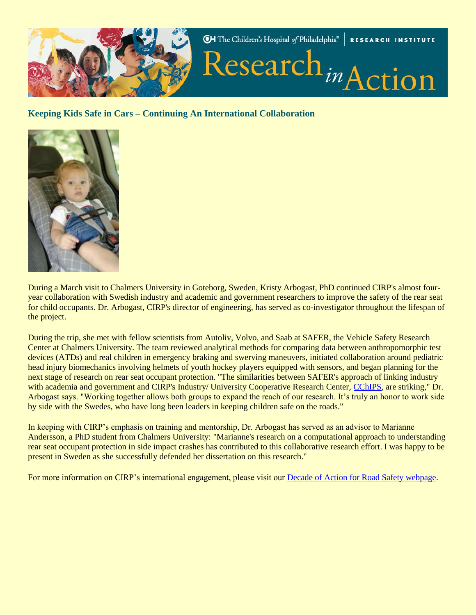

**Keeping Kids Safe in Cars – Continuing An International Collaboration**



During a March visit to Chalmers University in Goteborg, Sweden, Kristy Arbogast, PhD continued CIRP's almost fouryear collaboration with Swedish industry and academic and government researchers to improve the safety of the rear seat for child occupants. Dr. Arbogast, CIRP's director of engineering, has served as co-investigator throughout the lifespan of the project.

During the trip, she met with fellow scientists from Autoliv, Volvo, and Saab at SAFER, the Vehicle Safety Research Center at Chalmers University. The team reviewed analytical methods for comparing data between anthropomorphic test devices (ATDs) and real children in emergency braking and swerving maneuvers, initiated collaboration around pediatric head injury biomechanics involving helmets of youth hockey players equipped with sensors, and began planning for the next stage of research on rear seat occupant protection. "The similarities between SAFER's approach of linking industry with academia and government and CIRP's Industry/ University Cooperative Research Center, [CChIPS,](http://www.chop.edu/cchips) are striking," Dr. Arbogast says. "Working together allows both groups to expand the reach of our research. It's truly an honor to work side by side with the Swedes, who have long been leaders in keeping children safe on the roads."

In keeping with CIRP's emphasis on training and mentorship, Dr. Arbogast has served as an advisor to Marianne Andersson, a PhD student from Chalmers University: "Marianne's research on a computational approach to understanding rear seat occupant protection in side impact crashes has contributed to this collaborative research effort. I was happy to be present in Sweden as she successfully defended her dissertation on this research."

For more information on CIRP's international engagement, please visit our [Decade of Action for Road Safety webpage.](http://www.research.chop.edu/programs/injury/news_events/decade_of_action.php)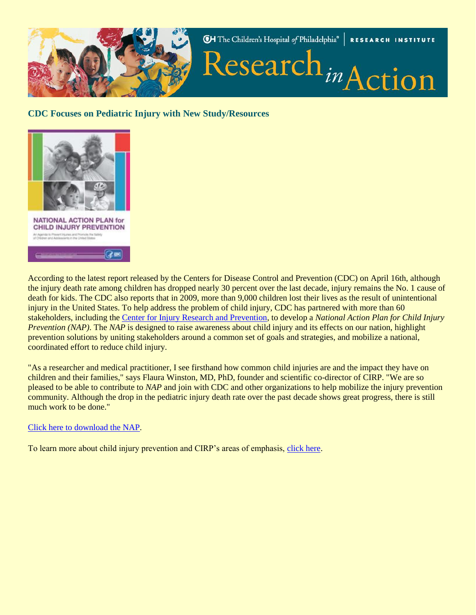

## **CDC Focuses on Pediatric Injury with New Study/Resources**



According to the latest report released by the Centers for Disease Control and Prevention (CDC) on April 16th, although the injury death rate among children has dropped nearly 30 percent over the last decade, injury remains the No. 1 cause of death for kids. The CDC also reports that in 2009, more than 9,000 children lost their lives as the result of unintentional injury in the United States. To help address the problem of child injury, CDC has partnered with more than 60 stakeholders, including the [Center for Injury Research and Prevention,](http://www.chop.edu/injury) to develop a *National Action Plan for Child Injury Prevention (NAP)*. The *NAP* is designed to raise awareness about child injury and its effects on our nation, highlight prevention solutions by uniting stakeholders around a common set of goals and strategies, and mobilize a national, coordinated effort to reduce child injury.

"As a researcher and medical practitioner, I see firsthand how common child injuries are and the impact they have on children and their families," says Flaura Winston, MD, PhD, founder and scientific co-director of CIRP. "We are so pleased to be able to contribute to *NAP* and join with CDC and other organizations to help mobilize the injury prevention community. Although the drop in the pediatric injury death rate over the past decade shows great progress, there is still much work to be done."

#### [Click here to download the NAP.](http://www.cdc.gov/safechild/pdf/National_Action_Plan_for_Child_Injury_Prevention.pdf)

To learn more about child injury prevention and CIRP's areas of emphasis, [click here.](http://www.research.chop.edu/programs/injury/our_research)